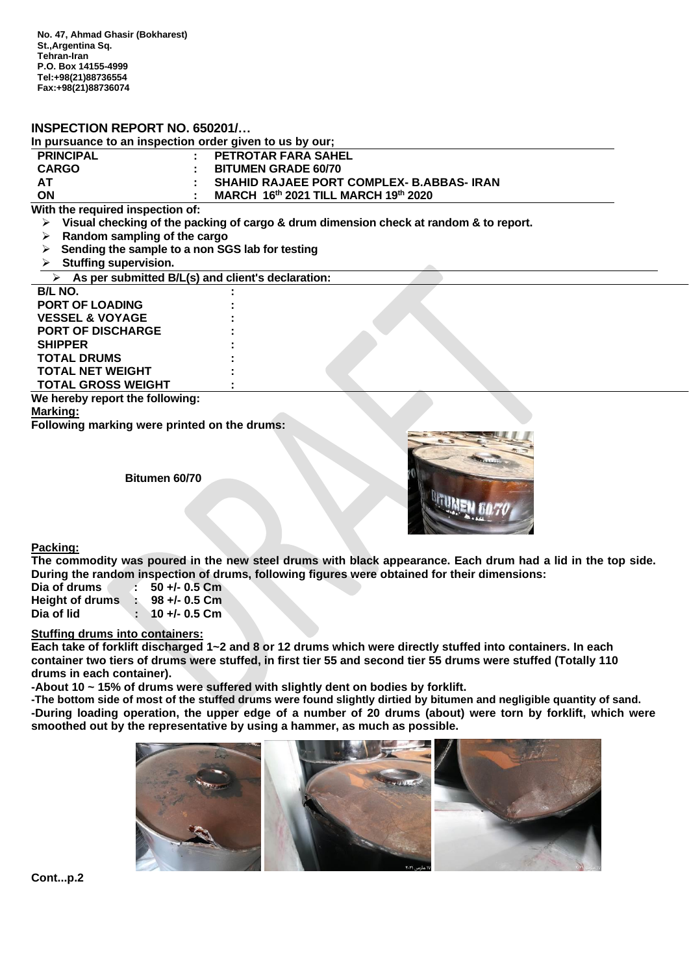# **INSPECTION REPORT NO. 650201/…**

| In pursuance to an inspection order given to us by our: |  |                                             |  |  |
|---------------------------------------------------------|--|---------------------------------------------|--|--|
| <b>PRINCIPAL</b>                                        |  | : PETROTAR FARA SAHEL                       |  |  |
| <b>CARGO</b>                                            |  | <b>BITUMEN GRADE 60/70</b>                  |  |  |
| <b>AT</b>                                               |  | : SHAHID RAJAEE PORT COMPLEX- B.ABBAS- IRAN |  |  |
| ON                                                      |  | MARCH 16th 2021 TILL MARCH 19th 2020        |  |  |

**With the required inspection of:**

- ➢ **Visual checking of the packing of cargo & drum dimension check at random & to report.**
- ➢ **Random sampling of the cargo**
- ➢ **Sending the sample to a non SGS lab for testing**
- ➢ **Stuffing supervision.**

| As per submitted B/L(s) and client's declaration: |  |
|---------------------------------------------------|--|
| <b>B/L NO.</b>                                    |  |
| <b>PORT OF LOADING</b>                            |  |
| <b>VESSEL &amp; VOYAGE</b>                        |  |
| <b>PORT OF DISCHARGE</b>                          |  |
| <b>SHIPPER</b>                                    |  |
| <b>TOTAL DRUMS</b>                                |  |
| <b>TOTAL NET WEIGHT</b>                           |  |
| <b>TOTAL GROSS WEIGHT</b>                         |  |
| We hereby report the following.                   |  |

**We rollowing: Marking: Following marking were printed on the drums:**

**Bitumen 60/70**



**Packing:** 

**The commodity was poured in the new steel drums with black appearance. Each drum had a lid in the top side. During the random inspection of drums, following figures were obtained for their dimensions:** 

| Dia of drums           |    | $\frac{1}{2}$ 50 +/- 0.5 Cm |
|------------------------|----|-----------------------------|
| <b>Height of drums</b> | b. | 98 +/- 0.5 Cm               |
| Dia of lid             |    | 10 +/- 0.5 Cm               |

### **Stuffing drums into containers:**

**Each take of forklift discharged 1~2 and 8 or 12 drums which were directly stuffed into containers. In each container two tiers of drums were stuffed, in first tier 55 and second tier 55 drums were stuffed (Totally 110 drums in each container).**

**-About 10 ~ 15% of drums were suffered with slightly dent on bodies by forklift.**

**-The bottom side of most of the stuffed drums were found slightly dirtied by bitumen and negligible quantity of sand. -During loading operation, the upper edge of a number of 20 drums (about) were torn by forklift, which were smoothed out by the representative by using a hammer, as much as possible.**

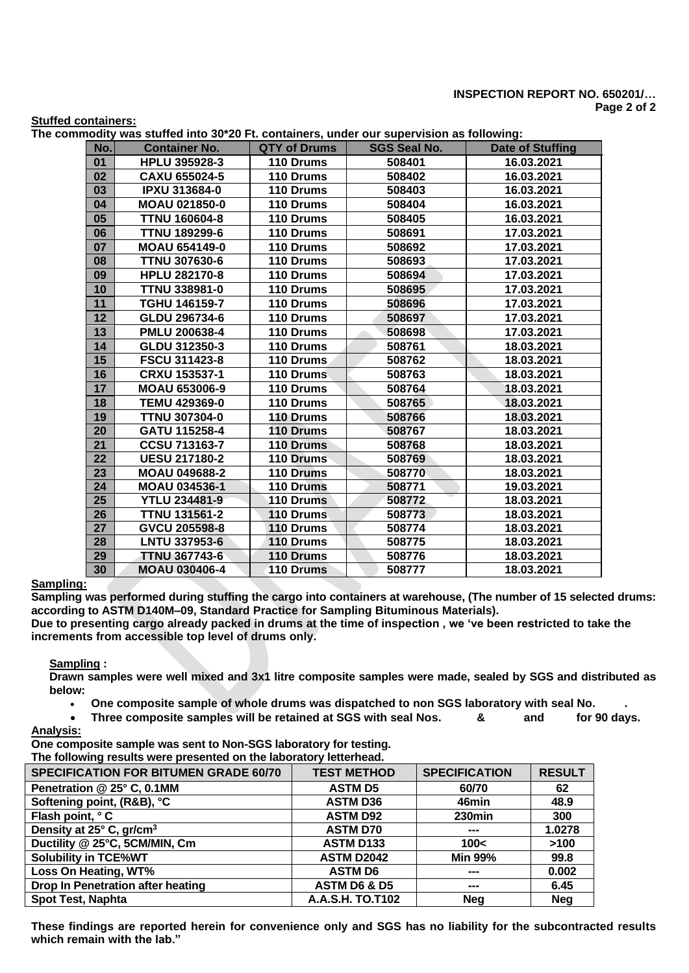## **INSPECTION REPORT NO. 650201/… Page 2 of 2**

#### **Stuffed containers:**

**The commodity was stuffed into 30\*20 Ft. containers, under our supervision as following:**

| No. | <b>Container No.</b> | <b>QTY of Drums</b> | <b>SGS Seal No.</b> | <b>Date of Stuffing</b> |
|-----|----------------------|---------------------|---------------------|-------------------------|
| 01  | <b>HPLU 395928-3</b> | 110 Drums           | 508401              | 16.03.2021              |
| 02  | CAXU 655024-5        | 110 Drums           | 508402              | 16.03.2021              |
| 03  | <b>IPXU 313684-0</b> | 110 Drums           | 508403              | 16.03.2021              |
| 04  | <b>MOAU 021850-0</b> | 110 Drums           | 508404              | 16.03.2021              |
| 05  | <b>TTNU 160604-8</b> | 110 Drums           | 508405              | 16.03.2021              |
| 06  | <b>TTNU 189299-6</b> | 110 Drums           | 508691              | 17.03.2021              |
| 07  | <b>MOAU 654149-0</b> | 110 Drums           | 508692              | 17.03.2021              |
| 08  | <b>TTNU 307630-6</b> | 110 Drums           | 508693              | 17.03.2021              |
| 09  | <b>HPLU 282170-8</b> | 110 Drums           | 508694              | 17.03.2021              |
| 10  | <b>TTNU 338981-0</b> | 110 Drums           | 508695              | 17.03.2021              |
| 11  | TGHU 146159-7        | 110 Drums           | 508696              | 17.03.2021              |
| 12  | GLDU 296734-6        | 110 Drums           | 508697              | 17.03.2021              |
| 13  | PMLU 200638-4        | 110 Drums           | 508698              | 17.03.2021              |
| 14  | GLDU 312350-3        | 110 Drums           | 508761              | 18.03.2021              |
| 15  | <b>FSCU 311423-8</b> | 110 Drums           | 508762              | 18.03.2021              |
| 16  | <b>CRXU 153537-1</b> | 110 Drums           | 508763              | 18.03.2021              |
| 17  | <b>MOAU 653006-9</b> | 110 Drums           | 508764              | 18.03.2021              |
| 18  | <b>TEMU 429369-0</b> | 110 Drums           | 508765              | 18.03.2021              |
| 19  | <b>TTNU 307304-0</b> | 110 Drums           | 508766              | 18.03.2021              |
| 20  | GATU 115258-4        | 110 Drums           | 508767              | 18.03.2021              |
| 21  | <b>CCSU 713163-7</b> | 110 Drums           | 508768              | 18.03.2021              |
| 22  | <b>UESU 217180-2</b> | 110 Drums           | 508769              | 18.03.2021              |
| 23  | <b>MOAU 049688-2</b> | 110 Drums           | 508770              | 18.03.2021              |
| 24  | MOAU 034536-1        | 110 Drums           | 508771              | 19.03.2021              |
| 25  | <b>YTLU 234481-9</b> | 110 Drums           | 508772              | 18.03.2021              |
| 26  | <b>TTNU 131561-2</b> | 110 Drums           | 508773              | 18.03.2021              |
| 27  | GVCU 205598-8        | 110 Drums           | 508774              | 18.03.2021              |
| 28  | <b>LNTU 337953-6</b> | 110 Drums           | 508775              | 18.03.2021              |
| 29  | <b>TTNU 367743-6</b> | 110 Drums           | 508776              | 18.03.2021              |
| 30  | <b>MOAU 030406-4</b> | 110 Drums           | 508777              | 18.03.2021              |

## **Sampling:**

**Sampling was performed during stuffing the cargo into containers at warehouse, (The number of 15 selected drums: according to ASTM D140M–09, Standard Practice for Sampling Bituminous Materials).**

**Due to presenting cargo already packed in drums at the time of inspection , we 've been restricted to take the increments from accessible top level of drums only.**

**Sampling :**

**Drawn samples were well mixed and 3x1 litre composite samples were made, sealed by SGS and distributed as below:**

• **One composite sample of whole drums was dispatched to non SGS laboratory with seal No. .**

• **Three composite samples will be retained at SGS with seal Nos. & and for 90 days. Analysis:**

**One composite sample was sent to Non-SGS laboratory for testing. The following results were presented on the laboratory letterhead.**

| The following results were presented on the laboratory letternead. |                         |                      |               |  |  |
|--------------------------------------------------------------------|-------------------------|----------------------|---------------|--|--|
| <b>SPECIFICATION FOR BITUMEN GRADE 60/70</b>                       | <b>TEST METHOD</b>      | <b>SPECIFICATION</b> | <b>RESULT</b> |  |  |
| Penetration @ 25° C, 0.1MM                                         | <b>ASTM D5</b>          | 60/70                | 62            |  |  |
| Softening point, (R&B), °C                                         | <b>ASTM D36</b>         | 46min                | 48.9          |  |  |
| Flash point, °C                                                    | <b>ASTM D92</b>         | 230min               | 300           |  |  |
| Density at 25° C, gr/cm <sup>3</sup>                               | <b>ASTM D70</b>         | ---                  | 1.0278        |  |  |
| Ductility @ 25°C, 5CM/MIN, Cm                                      | <b>ASTM D133</b>        | 100<                 | >100          |  |  |
| <b>Solubility in TCE%WT</b>                                        | <b>ASTM D2042</b>       | <b>Min 99%</b>       | 99.8          |  |  |
| Loss On Heating, WT%                                               | <b>ASTM D6</b>          | ---                  | 0.002         |  |  |
| Drop In Penetration after heating                                  | <b>ASTM D6 &amp; D5</b> | ---                  | 6.45          |  |  |
| <b>Spot Test, Naphta</b>                                           | A.A.S.H. TO.T102        | <b>Nea</b>           | <b>Neg</b>    |  |  |

**These findings are reported herein for convenience only and SGS has no liability for the subcontracted results which remain with the lab."**